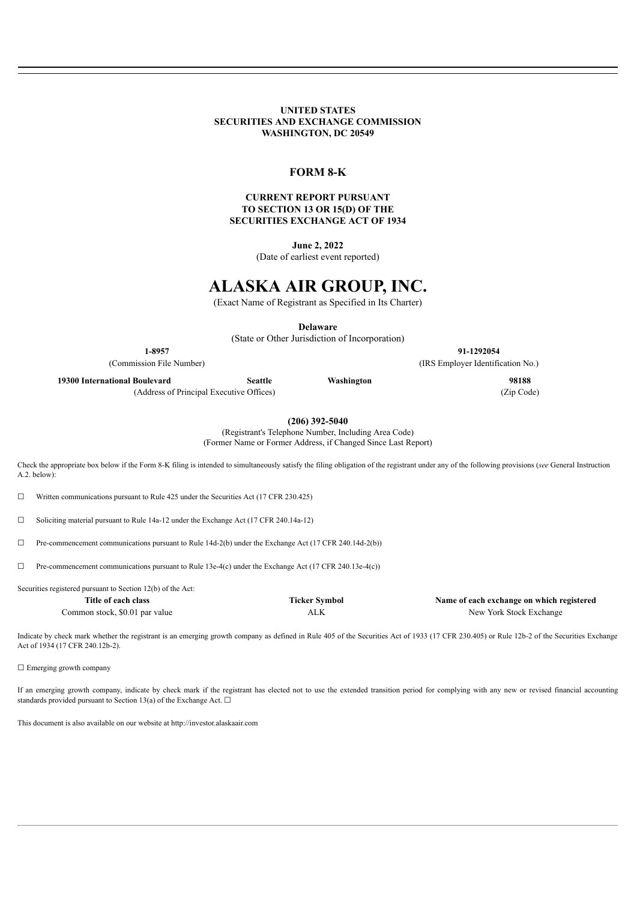#### **UNITED STATES SECURITIES AND EXCHANGE COMMISSION WASHINGTON, DC 20549**

#### **FORM 8-K**

#### **CURRENT REPORT PURSUANT TO SECTION 13 OR 15(D) OF THE SECURITIES EXCHANGE ACT OF 1934**

**June 2, 2022**

(Date of earliest event reported)

## **ALASKA AIR GROUP, INC.**

(Exact Name of Registrant as Specified in Its Charter)

**Delaware**

(State or Other Jurisdiction of Incorporation)

| 1-8957                             |                |            | 91-1292054                      |  |
|------------------------------------|----------------|------------|---------------------------------|--|
| (Commission File Number)           |                |            | (IRS Employer Identification No |  |
| 19300 International Boulevard      | <b>Seattle</b> | Washington | 98188                           |  |
| $\sim$ $\sim$ $\sim$ $\sim$ $\sim$ |                |            | $-1$                            |  |

(Address of Principal Executive Offices) (Zip Code)

**(206) 392-5040**

(Registrant's Telephone Number, Including Area Code) (Former Name or Former Address, if Changed Since Last Report)

Check the appropriate box below if the Form 8-K filing is intended to simultaneously satisfy the filing obligation of the registrant under any of the following provisions (*see* General Instruction A.2. below):

☐ Written communications pursuant to Rule 425 under the Securities Act (17 CFR 230.425)

☐ Soliciting material pursuant to Rule 14a-12 under the Exchange Act (17 CFR 240.14a-12)

 $\Box$  Pre-commencement communications pursuant to Rule 14d-2(b) under the Exchange Act (17 CFR 240.14d-2(b))

 $\Box$  Pre-commencement communications pursuant to Rule 13e-4(c) under the Exchange Act (17 CFR 240.13e-4(c))

Securities registered pursuant to Section 12(b) of the Act:

**Title of each class Ticker Symbol Name of each exchange on which registered** Common stock, \$0.01 par value  $ALK$  ALK New York Stock Exchange

Indicate by check mark whether the registrant is an emerging growth company as defined in Rule 405 of the Securities Act of 1933 (17 CFR 230.405) or Rule 12b-2 of the Securities Exchange Act of 1934 (17 CFR 240.12b-2).

□ Emerging growth company

If an emerging growth company, indicate by check mark if the registrant has elected not to use the extended transition period for complying with any new or revised financial accounting standards provided pursuant to Section 13(a) of the Exchange Act.  $\Box$ 

This document is also available on our website at http://investor.alaskaair.com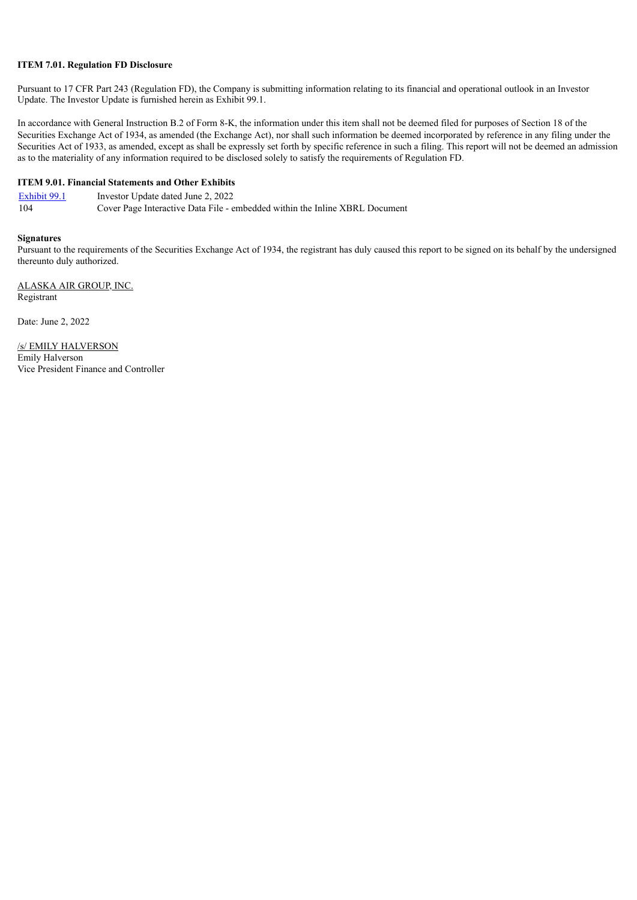#### **ITEM 7.01. Regulation FD Disclosure**

Pursuant to 17 CFR Part 243 (Regulation FD), the Company is submitting information relating to its financial and operational outlook in an Investor Update. The Investor Update is furnished herein as Exhibit 99.1.

In accordance with General Instruction B.2 of Form 8-K, the information under this item shall not be deemed filed for purposes of Section 18 of the Securities Exchange Act of 1934, as amended (the Exchange Act), nor shall such information be deemed incorporated by reference in any filing under the Securities Act of 1933, as amended, except as shall be expressly set forth by specific reference in such a filing. This report will not be deemed an admission as to the materiality of any information required to be disclosed solely to satisfy the requirements of Regulation FD.

#### **ITEM 9.01. Financial Statements and Other Exhibits**

| Exhibit 99.1 | Investor Update dated June 2, 2022                                          |
|--------------|-----------------------------------------------------------------------------|
| 104          | Cover Page Interactive Data File - embedded within the Inline XBRL Document |

#### **Signatures**

Pursuant to the requirements of the Securities Exchange Act of 1934, the registrant has duly caused this report to be signed on its behalf by the undersigned thereunto duly authorized.

ALASKA AIR GROUP, INC. Registrant

Date: June 2, 2022

/s/ EMILY HALVERSON Emily Halverson Vice President Finance and Controller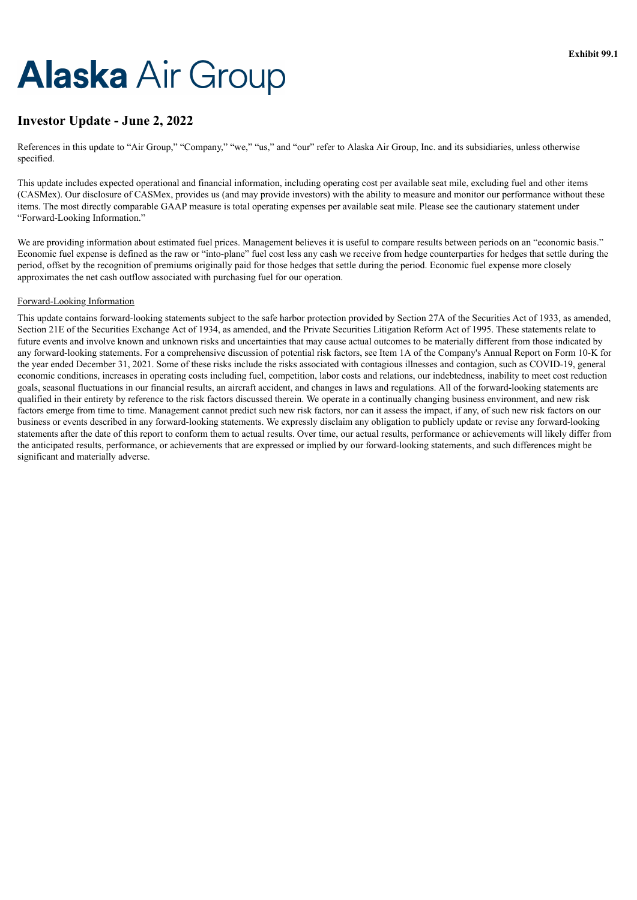# <span id="page-2-0"></span>**Alaska Air Group**

## **Investor Update - June 2, 2022**

References in this update to "Air Group," "Company," "we," "us," and "our" refer to Alaska Air Group, Inc. and its subsidiaries, unless otherwise specified.

This update includes expected operational and financial information, including operating cost per available seat mile, excluding fuel and other items (CASMex). Our disclosure of CASMex, provides us (and may provide investors) with the ability to measure and monitor our performance without these items. The most directly comparable GAAP measure is total operating expenses per available seat mile. Please see the cautionary statement under "Forward-Looking Information."

We are providing information about estimated fuel prices. Management believes it is useful to compare results between periods on an "economic basis." Economic fuel expense is defined as the raw or "into-plane" fuel cost less any cash we receive from hedge counterparties for hedges that settle during the period, offset by the recognition of premiums originally paid for those hedges that settle during the period. Economic fuel expense more closely approximates the net cash outflow associated with purchasing fuel for our operation.

#### Forward-Looking Information

This update contains forward-looking statements subject to the safe harbor protection provided by Section 27A of the Securities Act of 1933, as amended, Section 21E of the Securities Exchange Act of 1934, as amended, and the Private Securities Litigation Reform Act of 1995. These statements relate to future events and involve known and unknown risks and uncertainties that may cause actual outcomes to be materially different from those indicated by any forward-looking statements. For a comprehensive discussion of potential risk factors, see Item 1A of the Company's Annual Report on Form 10-K for the year ended December 31, 2021. Some of these risks include the risks associated with contagious illnesses and contagion, such as COVID-19, general economic conditions, increases in operating costs including fuel, competition, labor costs and relations, our indebtedness, inability to meet cost reduction goals, seasonal fluctuations in our financial results, an aircraft accident, and changes in laws and regulations. All of the forward-looking statements are qualified in their entirety by reference to the risk factors discussed therein. We operate in a continually changing business environment, and new risk factors emerge from time to time. Management cannot predict such new risk factors, nor can it assess the impact, if any, of such new risk factors on our business or events described in any forward-looking statements. We expressly disclaim any obligation to publicly update or revise any forward-looking statements after the date of this report to conform them to actual results. Over time, our actual results, performance or achievements will likely differ from the anticipated results, performance, or achievements that are expressed or implied by our forward-looking statements, and such differences might be significant and materially adverse.